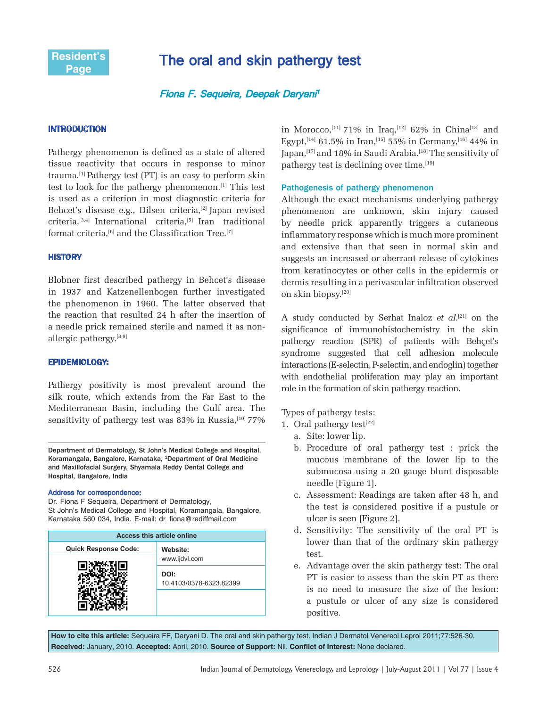

# The oral and skin pathergy test

# Fiona F. Sequeira, Deepak Daryani<sup>1</sup>

## INTRODUCTION

Pathergy phenomenon is defined as a state of altered tissue reactivity that occurs in response to minor trauma.[1] Pathergy test (PT) is an easy to perform skin test to look for the pathergy phenomenon.[1] This test is used as a criterion in most diagnostic criteria for Behcet's disease e.g., Dilsen criteria,<sup>[2]</sup> Japan revised criteria,[3,4] International criteria,[5] Iran traditional format criteria.<sup>[6]</sup> and the Classification Tree.<sup>[7]</sup>

#### **HISTORY**

Blobner first described pathergy in Behcet's disease in 1937 and Katzenellenbogen further investigated the phenomenon in 1960. The latter observed that the reaction that resulted 24 h after the insertion of a needle prick remained sterile and named it as nonallergic pathergy.<sup>[8,9]</sup>

## EPIDEMIOLOGY:

Pathergy positivity is most prevalent around the silk route, which extends from the Far East to the Mediterranean Basin, including the Gulf area. The sensitivity of pathergy test was 83% in Russia, $[10]$  77%

Department of Dermatology, St John's Medical College and Hospital, Koramangala, Bangalore, Karnataka, <sup>1</sup>Department of Oral Medicine and Maxillofacial Surgery, Shyamala Reddy Dental College and Hospital, Bangalore, India

#### Address for correspondence:

Dr. Fiona F Sequeira, Department of Dermatology, St John's Medical College and Hospital, Koramangala, Bangalore, Karnataka 560 034, India. E-mail: dr\_fiona@rediffmail.com

| <b>Access this article online</b> |                                 |
|-----------------------------------|---------------------------------|
| <b>Quick Response Code:</b>       | Website:<br>www.ijdvl.com       |
|                                   |                                 |
|                                   | DOI:<br>10.4103/0378-6323.82399 |
|                                   |                                 |

in Morocco,<sup>[11]</sup> 71% in Iraq,<sup>[12]</sup> 62% in China<sup>[13]</sup> and Egypt,<sup>[14]</sup> 61.5% in Iran,<sup>[15]</sup> 55% in Germany,<sup>[16]</sup> 44% in Japan,<sup>[17]</sup> and 18% in Saudi Arabia.<sup>[18]</sup> The sensitivity of pathergy test is declining over time.<sup>[19]</sup>

## Pathogenesis of pathergy phenomenon

Although the exact mechanisms underlying pathergy phenomenon are unknown, skin injury caused by needle prick apparently triggers a cutaneous inflammatory response which is much more prominent and extensive than that seen in normal skin and suggests an increased or aberrant release of cytokines from keratinocytes or other cells in the epidermis or dermis resulting in a perivascular infiltration observed on skin biopsy.[20]

A study conducted by Serhat Inaloz *et al*. [21] on the significance of immunohistochemistry in the skin pathergy reaction (SPR) of patients with Behçet's syndrome suggested that cell adhesion molecule interactions (E-selectin, P-selectin, and endoglin) together with endothelial proliferation may play an important role in the formation of skin pathergy reaction.

Types of pathergy tests:

- 1. Oral pathergy test $[22]$ 
	- a. Site: lower lip.
	- b. Procedure of oral pathergy test : prick the mucous membrane of the lower lip to the submucosa using a 20 gauge blunt disposable needle [Figure 1].
	- c. Assessment: Readings are taken after 48 h, and the test is considered positive if a pustule or ulcer is seen [Figure 2].
	- d. Sensitivity: The sensitivity of the oral PT is lower than that of the ordinary skin pathergy test.
	- e. Advantage over the skin pathergy test: The oral PT is easier to assess than the skin PT as there is no need to measure the size of the lesion: a pustule or ulcer of any size is considered positive.

**How to cite this article:** Sequeira FF, Daryani D. The oral and skin pathergy test. Indian J Dermatol Venereol Leprol 2011;77:526-30. **Received:** January, 2010. **Accepted:** April, 2010. **Source of Support:** Nil. **Conflict of Interest:** None declared.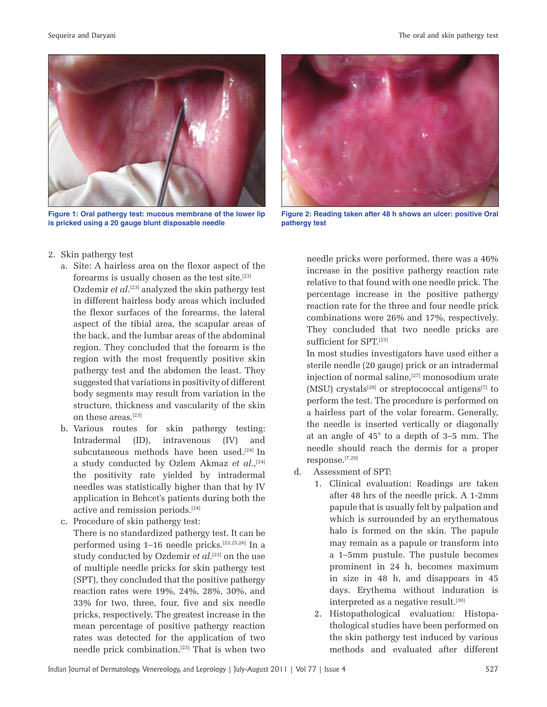

**Figure 1: Oral pathergy test: mucous membrane of the lower lip is pricked using a 20 gauge blunt disposable needle**



- a. Site: A hairless area on the flexor aspect of the forearms is usually chosen as the test site.[23] Ozdemir *et al*. [23] analyzed the skin pathergy test in different hairless body areas which included the flexor surfaces of the forearms, the lateral aspect of the tibial area, the scapular areas of the back, and the lumbar areas of the abdominal region. They concluded that the forearm is the region with the most frequently positive skin pathergy test and the abdomen the least. They suggested that variations in positivity of different body segments may result from variation in the structure, thickness and vascularity of the skin on these areas.[23]
- b. Various routes for skin pathergy testing: Intradermal (ID), intravenous (IV) and subcutaneous methods have been used.<sup>[24]</sup> In a study conducted by Ozlem Akmaz *et al.*, [24] the positivity rate yielded by intradermal needles was statistically higher than that by IV application in Behcet's patients during both the active and remission periods.[24]
- c. Procedure of skin pathergy test: There is no standardized pathergy test. It can be performed using 1–16 needle pricks.[23,25,26] In a study conducted by Ozdemir *et al*.<sup>[23]</sup> on the use of multiple needle pricks for skin pathergy test (SPT), they concluded that the positive pathergy reaction rates were 19%, 24%, 28%, 30%, and 33% for two, three, four, five and six needle pricks, respectively. The greatest increase in the mean percentage of positive pathergy reaction rates was detected for the application of two needle prick combination.[23] That is when two



**Figure 2: Reading taken after 48 h shows an ulcer: positive Oral pathergy test**

needle pricks were performed, there was a 46% increase in the positive pathergy reaction rate relative to that found with one needle prick. The percentage increase in the positive pathergy reaction rate for the three and four needle prick combinations were 26% and 17%, respectively. They concluded that two needle pricks are sufficient for SPT.[23]

In most studies investigators have used either a sterile needle (20 gauge) prick or an intradermal injection of normal saline,[27] monosodium urate  $(MSU)$  crystals<sup>[28]</sup> or streptococcal antigens<sup>[7]</sup> to perform the test. The procedure is performed on a hairless part of the volar forearm. Generally, the needle is inserted vertically or diagonally at an angle of 45° to a depth of 3–5 mm. The needle should reach the dermis for a proper response.[7,29]

- d. Assessment of SPT:
	- 1. Clinical evaluation: Readings are taken after 48 hrs of the needle prick. A 1-2mm papule that is usually felt by palpation and which is surrounded by an erythematous halo is formed on the skin. The papule may remain as a papule or transform into a 1–5mm pustule. The pustule becomes prominent in 24 h, becomes maximum in size in 48 h, and disappears in 45 days. Erythema without induration is interpreted as a negative result.<sup>[30]</sup>
	- 2. Histopathological evaluation: Histopathological studies have been performed on the skin pathergy test induced by various methods and evaluated after different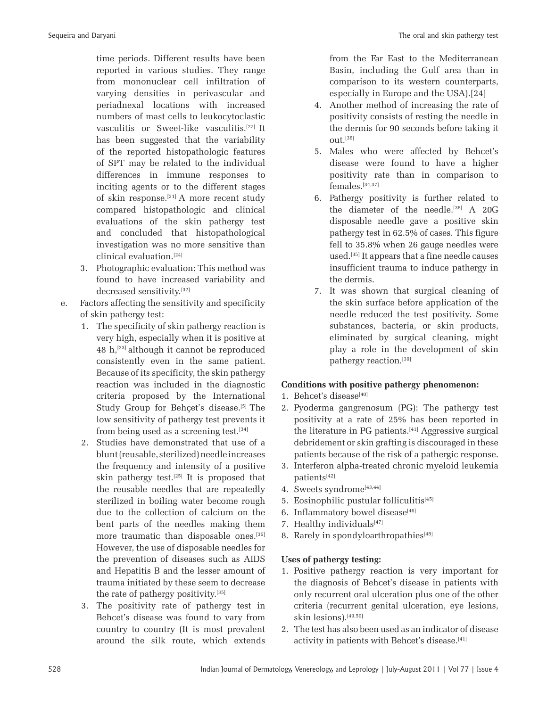time periods. Different results have been reported in various studies. They range from mononuclear cell infiltration of varying densities in perivascular and periadnexal locations with increased numbers of mast cells to leukocytoclastic vasculitis or Sweet-like vasculitis.[27] It has been suggested that the variability of the reported histopathologic features of SPT may be related to the individual differences in immune responses to inciting agents or to the different stages of skin response.[31] A more recent study compared histopathologic and clinical evaluations of the skin pathergy test and concluded that histopathological investigation was no more sensitive than clinical evaluation.[24]

- 3. Photographic evaluation: This method was found to have increased variability and decreased sensitivity.[32]
- e. Factors affecting the sensitivity and specificity of skin pathergy test:
	- 1. The specificity of skin pathergy reaction is very high, especially when it is positive at 48 h,[33] although it cannot be reproduced consistently even in the same patient. Because of its specificity, the skin pathergy reaction was included in the diagnostic criteria proposed by the International Study Group for Behçet's disease.<sup>[5]</sup> The low sensitivity of pathergy test prevents it from being used as a screening test.<sup>[34]</sup>
	- 2. Studies have demonstrated that use of a blunt (reusable, sterilized) needle increases the frequency and intensity of a positive skin pathergy test.<sup>[25]</sup> It is proposed that the reusable needles that are repeatedly sterilized in boiling water become rough due to the collection of calcium on the bent parts of the needles making them more traumatic than disposable ones.<sup>[35]</sup> However, the use of disposable needles for the prevention of diseases such as AIDS and Hepatitis B and the lesser amount of trauma initiated by these seem to decrease the rate of pathergy positivity.[35]
	- 3. The positivity rate of pathergy test in Behcet's disease was found to vary from country to country (It is most prevalent around the silk route, which extends

from the Far East to the Mediterranean Basin, including the Gulf area than in comparison to its western counterparts, especially in Europe and the USA).[24]

- 4. Another method of increasing the rate of positivity consists of resting the needle in the dermis for 90 seconds before taking it  $011^{[36]}$
- 5. Males who were affected by Behcet's disease were found to have a higher positivity rate than in comparison to females.[34,37]
- 6. Pathergy positivity is further related to the diameter of the needle.<sup>[38]</sup> A 20G disposable needle gave a positive skin pathergy test in 62.5% of cases. This figure fell to 35.8% when 26 gauge needles were used.[35] It appears that a fine needle causes insufficient trauma to induce pathergy in the dermis.
- 7. It was shown that surgical cleaning of the skin surface before application of the needle reduced the test positivity. Some substances, bacteria, or skin products, eliminated by surgical cleaning, might play a role in the development of skin pathergy reaction.[39]

## **Conditions with positive pathergy phenomenon:**

- 1. Behcet's disease $[40]$
- 2. Pyoderma gangrenosum (PG): The pathergy test positivity at a rate of 25% has been reported in the literature in PG patients.[41] Aggressive surgical debridement or skin grafting is discouraged in these patients because of the risk of a pathergic response.
- 3. Interferon alpha-treated chronic myeloid leukemia patients<sup>[42]</sup>
- 4. Sweets syndrome<sup>[43,44]</sup>
- 5. Eosinophilic pustular folliculitis<sup>[45]</sup>
- 6. Inflammatory bowel disease $[46]$
- 7. Healthy individuals<sup>[47]</sup>
- 8. Rarely in spondyloarthropathies<sup>[48]</sup>

# **Uses of pathergy testing:**

- 1. Positive pathergy reaction is very important for the diagnosis of Behcet's disease in patients with only recurrent oral ulceration plus one of the other criteria (recurrent genital ulceration, eye lesions, skin lesions).[49,50]
- 2. The test has also been used as an indicator of disease activity in patients with Behcet's disease.<sup>[41]</sup>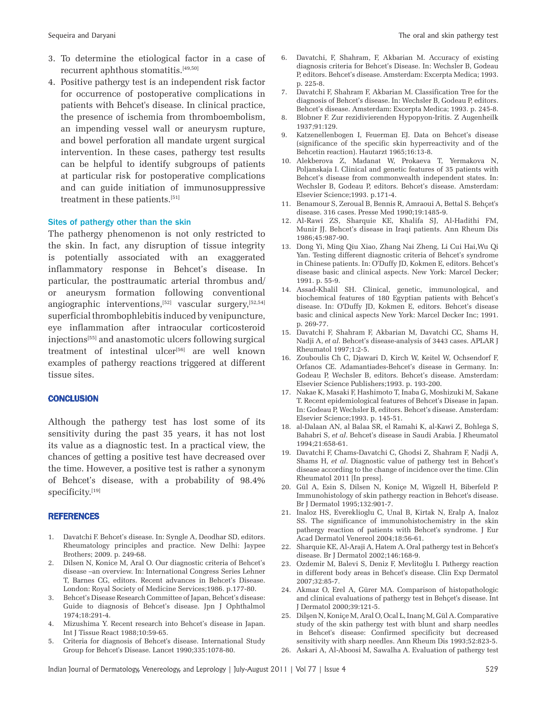- 3. To determine the etiological factor in a case of recurrent aphthous stomatitis.[49,50]
- 4. Positive pathergy test is an independent risk factor for occurrence of postoperative complications in patients with Behcet's disease. In clinical practice, the presence of ischemia from thromboembolism, an impending vessel wall or aneurysm rupture, and bowel perforation all mandate urgent surgical intervention. In these cases, pathergy test results can be helpful to identify subgroups of patients at particular risk for postoperative complications and can guide initiation of immunosuppressive treatment in these patients.[51]

#### Sites of pathergy other than the skin

The pathergy phenomenon is not only restricted to the skin. In fact, any disruption of tissue integrity is potentially associated with an exaggerated inflammatory response in Behcet's disease. In particular, the posttraumatic arterial thrombus and/ or aneurysm formation following conventional angiographic interventions,  $[52]$  vascular surgery,  $[52,54]$ superficial thrombophlebitis induced by venipuncture, eye inflammation after intraocular corticosteroid injections[55] and anastomotic ulcers following surgical treatment of intestinal ulcer<sup>[56]</sup> are well known examples of pathergy reactions triggered at different tissue sites.

#### **CONCLUSION**

Although the pathergy test has lost some of its sensitivity during the past 35 years, it has not lost its value as a diagnostic test. In a practical view, the chances of getting a positive test have decreased over the time. However, a positive test is rather a synonym of Behcet's disease, with a probability of 98.4% specificity.[19]

#### **REFERENCES**

- 1. Davatchi F. Behcet's disease. In: Syngle A, Deodhar SD, editors. Rheumatology principles and practice. New Delhi: Jaypee Brothers; 2009. p. 249-68.
- 2. Dilsen N, Konice M, Aral O. Our diagnostic criteria of Behcet's disease –an overview. In: International Congress Series Lehner T, Barnes CG, editors. Recent advances in Behcet's Disease. London: Royal Society of Medicine Services;1986. p.177-80.
- 3. Behcet's Disease Research Committee of Japan, Behcet's disease: Guide to diagnosis of Behcet's disease. Jpn J Ophthalmol 1974;18:291-4.
- 4. Mizushima Y. Recent research into Behcet's disease in Japan. Int J Tissue React 1988;10:59-65.
- 5. Criteria for diagnosis of Behcet's disease. International Study Group for Behcet's Disease. Lancet 1990;335:1078-80.
- 6. Davatchi, F, Shahram, F, Akbarian M. Accuracy of existing diagnosis criteria for Behcet's Disease. In: Wechsler B, Godeau P, editors. Behcet's disease. Amsterdam: Excerpta Medica; 1993. p. 225-8.
- 7. Davatchi F, Shahram F, Akbarian M. Classification Tree for the diagnosis of Behcet's disease. In: Wechsler B, Godeau P, editors. Behcet's disease. Amsterdam: Excerpta Medica; 1993. p. 245-8.
- 8. Blobner F. Zur rezidivierenden Hypopyon-Iritis. Z Augenheilk 1937;91:129.
- 9. Katzenellenbogen I, Feuerman EJ. Data on Behcet's disease (significance of the specific skin hyperreactivity and of the Behcetin reaction). Hautarzt 1965;16:13-8.
- 10. Alekberova Z, Madanat W, Prokaeva T, Yermakova N, Poljanskaja I. Clinical and genetic features of 35 patients with Behcet's disease from commonwealth independent states. In: Wechsler B, Godeau P, editors. Behcet's disease. Amsterdam: Elsevier Science;1993. p.171-4.
- 11. Benamour S, Zeroual B, Bennis R, Amraoui A, Bettal S. Behçet's disease. 316 cases. Presse Med 1990;19:1485-9.
- 12. Al-Rawi ZS, Sharquie KE, Khalifa SJ, Al-Hadithi FM, Munir JJ. Behcet's disease in Iraqi patients. Ann Rheum Dis 1986;45:987-90.
- 13. Dong Yi, Ming Qiu Xiao, Zhang Nai Zheng, Li Cui Hai,Wu Qi Yan. Testing different diagnostic criteria of Behcet's syndrome in Chinese patients. In: O'Duffy JD, Kokmen E, editors. Behcet's disease basic and clinical aspects. New York: Marcel Decker; 1991. p. 55-9.
- 14. Assad-Khalil SH. Clinical, genetic, immunological, and biochemical features of 180 Egyptian patients with Behcet's disease. In: O'Duffy JD, Kokmen E, editors. Behcet's disease basic and clinical aspects New York: Marcel Decker Inc; 1991. p. 269-77.
- 15. Davatchi F, Shahram F, Akbarian M, Davatchi CC, Shams H, Nadji A, *et al*. Behcet's disease-analysis of 3443 cases. APLAR J Rheumatol 1997;1:2-5.
- 16. Zouboulis Ch C, Djawari D, Kirch W, Keitel W, Ochsendorf F, Orfanos CE. Adamantiades-Behcet's disease in Germany. In: Godeau P, Wechsler B, editors. Behcet's disease. Amsterdam: Elsevier Science Publishers;1993. p. 193-200.
- 17. Nakae K, Masaki F, Hashimoto T, Inaba G, Moshizuki M, Sakane T. Recent epidemiological features of Behcet's Disease in Japan. In: Godeau P, Wechsler B, editors. Behcet's disease. Amsterdam: Elsevier Science;1993. p. 145-51.
- 18. al-Dalaan AN, al Balaa SR, el Ramahi K, al-Kawi Z, Bohlega S, Bahabri S, *et al*. Behcet's disease in Saudi Arabia. J Rheumatol 1994;21:658-61.
- 19. Davatchi F, Chams-Davatchi C, Ghodsi Z, Shahram F, Nadji A, Shams H, *et al*. Diagnostic value of pathergy test in Behcet's disease according to the change of incidence over the time. Clin Rheumatol 2011 [In press].
- 20. Gül A, Esin S, Dilsen N, Koniçe M, Wigzell H, Biberfeld P. Immunohistology of skin pathergy reaction in Behcet's disease. Br J Dermatol 1995;132:901-7.
- 21. Inaloz HS, Evereklioglu C, Unal B, Kirtak N, Eralp A, Inaloz SS. The significance of immunohistochemistry in the skin pathergy reaction of patients with Behcet's syndrome. J Eur Acad Dermatol Venereol 2004;18:56-61.
- 22. Sharquie KE, Al-Araji A, Hatem A. Oral pathergy test in Behcet's disease. Br J Dermatol 2002;146:168-9.
- 23. Ozdemir M, Balevi S, Deniz F, Mevlitoğlu I. Pathergy reaction in different body areas in Behcet's disease. Clin Exp Dermatol 2007;32:85-7.
- 24. Akmaz O, Erel A, Gürer MA. Comparison of histopathologic and clinical evaluations of pathergy test in Behçet's disease. Int J Dermatol 2000;39:121-5.
- 25. Dilşen N, Koniçe M, Aral O, Ocal L, Inanç M, Gül A. Comparative study of the skin pathergy test with blunt and sharp needles in Behcet's disease: Confirmed specificity but decreased sensitivity with sharp needles. Ann Rheum Dis 1993;52:823-5.
- 26. Askari A, Al-Aboosi M, Sawalha A. Evaluation of pathergy test